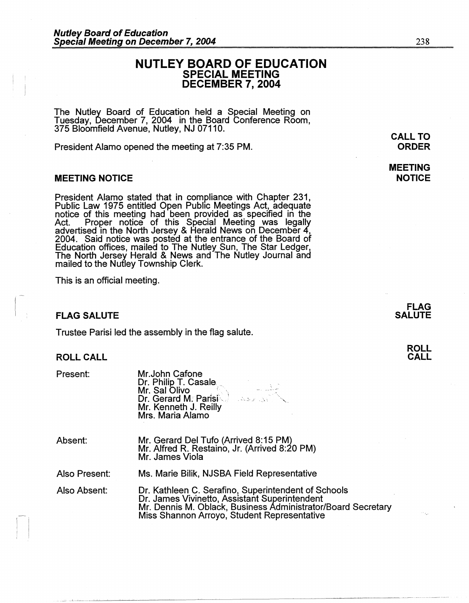# **NUTLEY BOARD OF EDUCATION SPECIAL MEETING DECEMBER 7, 2004**

The Nutley Board of Education held a Special Meeting on Tuesday, December 7, 2004 in the Board Conference Room, 375 Bloomfield Avenue, Nutley, NJ 07110.

President Alamo opened the meeting at 7:35 PM.

#### **MEETING NOTICE**

President Alamo stated that in compliance with Chapter 231, Public Law 1975 entitled Open Public Meetings Act, adequate<br>notice of this meeting had been provided as specified in the Act. Proper notice of this Special Meeting was legally advertised in the North Jersey & Herald News on December 4, 2004. Said notice was posted at the entrance of the Board of Education offices, mailed to The Nutley Sun, The Star Ledger,<br>The North Jersey Herald & News and The Nutley Journal and mailed to the Nutley Township Clerk.

This is an official meeting.

#### **FLAG SALUTE**

Trustee Parisi led the assembly in the flag salute.

### **ROLL CALL**

Present:

Mr.John Catone Dr. Philip T. Casale  $_{\sim}$ Mr. Sal Olivo  $\qquad \qquad \langle \rangle$ Dr. Gerard M: Parisi\ 1 Mr. Kenneth J. Reilly Mrs. Maria Alamo . *... :-.* \_;. \_,i· '., :-.. ', ~~ .......

Absent:

 $\left| \begin{array}{c} 1 \\ 1 \end{array} \right|$ 

Mr. Gerard Del Tufo (Arrived 8: 15 PM) Mr. Alfred R. Restaino, Jr. (Arrived 8:20 PM) Mr. James Viola

Also Present: Ms. Marie Bilik, NJSBA Field Representative

Also Absent: Dr. Kathleen C. Serafino, Superintendent of Schools . Dr. James Vivinetto, Assistant Superintendent Mr. Dennis M. Oblack, Business Administrator/Board Secretary Miss Shannon Arroyo, Student Representative

# **CALL TO ORDER**

238

### **MEETING NOTICE**